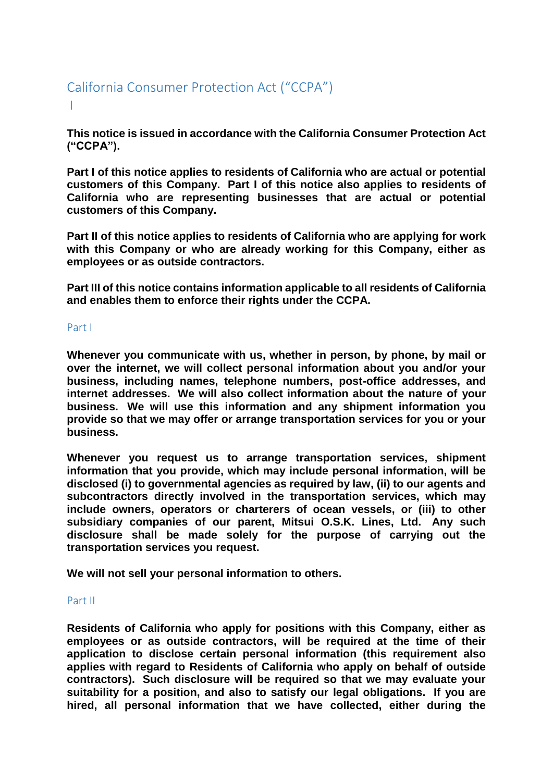# California Consumer Protection Act ("CCPA") |

**This notice is issued in accordance with the California Consumer Protection Act ("CCPA").**

**Part I of this notice applies to residents of California who are actual or potential customers of this Company. Part I of this notice also applies to residents of California who are representing businesses that are actual or potential customers of this Company.**

**Part II of this notice applies to residents of California who are applying for work with this Company or who are already working for this Company, either as employees or as outside contractors.**

**Part III of this notice contains information applicable to all residents of California and enables them to enforce their rights under the CCPA.**

## Part I

**Whenever you communicate with us, whether in person, by phone, by mail or over the internet, we will collect personal information about you and/or your business, including names, telephone numbers, post-office addresses, and internet addresses. We will also collect information about the nature of your business. We will use this information and any shipment information you provide so that we may offer or arrange transportation services for you or your business.**

**Whenever you request us to arrange transportation services, shipment information that you provide, which may include personal information, will be disclosed (i) to governmental agencies as required by law, (ii) to our agents and subcontractors directly involved in the transportation services, which may include owners, operators or charterers of ocean vessels, or (iii) to other subsidiary companies of our parent, Mitsui O.S.K. Lines, Ltd. Any such disclosure shall be made solely for the purpose of carrying out the transportation services you request.**

**We will not sell your personal information to others.** 

## Part II

**Residents of California who apply for positions with this Company, either as employees or as outside contractors, will be required at the time of their application to disclose certain personal information (this requirement also applies with regard to Residents of California who apply on behalf of outside contractors). Such disclosure will be required so that we may evaluate your suitability for a position, and also to satisfy our legal obligations. If you are hired, all personal information that we have collected, either during the**